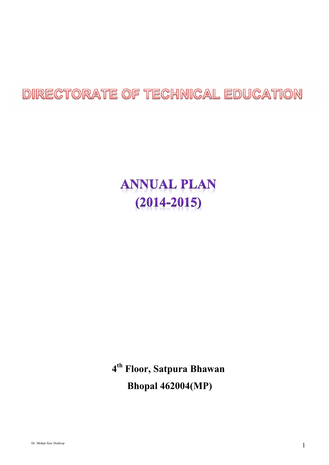# DIRECTORATE OF TECHNICAL EDUCATION

# **ANNUAL PLAN**  $(2014 - 2015)$

**4 th Floor, Satpura Bhawan Bhopal 462004(MP)**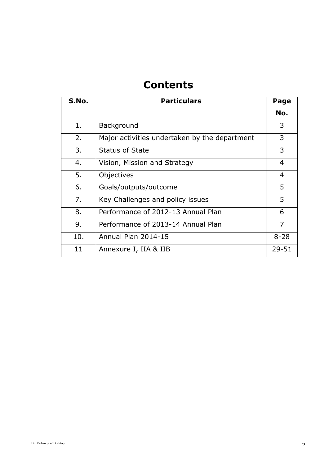# **Contents**

| S.No. | <b>Particulars</b>                            | Page           |
|-------|-----------------------------------------------|----------------|
|       |                                               | No.            |
| 1.    | Background                                    | 3              |
| 2.    | Major activities undertaken by the department | 3              |
| 3.    | <b>Status of State</b>                        | 3              |
| 4.    | Vision, Mission and Strategy                  | 4              |
| 5.    | Objectives                                    | $\overline{4}$ |
| 6.    | Goals/outputs/outcome                         | 5              |
| 7.    | Key Challenges and policy issues              | 5              |
| 8.    | Performance of 2012-13 Annual Plan            | 6              |
| 9.    | Performance of 2013-14 Annual Plan            | 7              |
| 10.   | Annual Plan 2014-15                           | $8 - 28$       |
| 11    | Annexure I, IIA & IIB                         | 29-51          |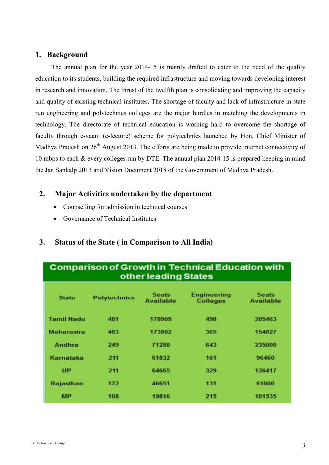#### **1. Background**

The annual plan for the year 2014-15 is mainly drafted to cater to the need of the quality education to its students, building the required infrastructure and moving towards developing interest in research and innovation. The thrust of the twelfth plan is consolidating and improving the capacity and quality of existing technical institutes. The shortage of faculty and lack of infrastructure in state run engineering and polytechnics colleges are the major hurdles in matching the developments in technology. The directorate of technical education is working hard to overcome the shortage of faculty through e-vaani (e-lecture) scheme for polytechnics launched by Hon. Chief Minister of Madhya Pradesh on 26<sup>th</sup> August 2013. The efforts are being made to provide internet connectivity of 10 mbps to each & every colleges run by DTE. The annual plan 2014-15 is prepared keeping in mind the Jan Sankalp 2013 and Vision Document 2018 of the Government of Madhya Pradesh.

#### **2. Major Activities undertaken by the department**

- Counselling for admission in technical courses
- Governance of Technical Institutes

#### **3. Status of the State ( in Comparison to All India)**

|                   |                     | other leading States             | <b>Comparison of Growth in Technical Education with</b> |                                  |
|-------------------|---------------------|----------------------------------|---------------------------------------------------------|----------------------------------|
| <b>State</b>      | <b>Polytechnics</b> | <b>Seats</b><br><b>Available</b> | <b>Engineering</b><br><b>Colleges</b>                   | <b>Seats</b><br><b>Available</b> |
| <b>Tamil Nadu</b> | 481                 | 170909                           | 498                                                     | 205463                           |
| Maharastra        | 483                 | 173802                           | 365                                                     | 154827                           |
| Andhra            | 249                 | 71280                            | 643                                                     | 235000                           |
| Karnataka         | 211                 | 61832                            | 161                                                     | 96460                            |
| UP                | 211                 | 64665                            | 329                                                     | 136417                           |
| Rajasthan         | 172                 | 46651                            | 131                                                     | 61000                            |
| MP                | 108                 | 19816                            | 215                                                     | 101535                           |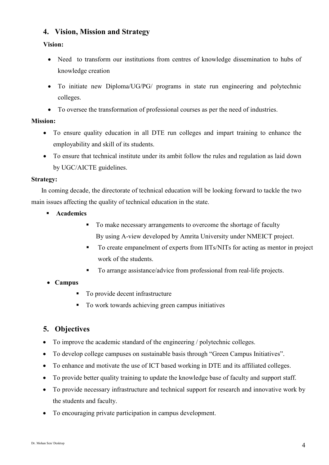#### **4. Vision, Mission and Strategy**

#### **Vision:**

- Need to transform our institutions from centres of knowledge dissemination to hubs of knowledge creation
- To initiate new Diploma/UG/PG/ programs in state run engineering and polytechnic colleges.
- To oversee the transformation of professional courses as per the need of industries.

#### **Mission:**

- To ensure quality education in all DTE run colleges and impart training to enhance the employability and skill of its students.
- To ensure that technical institute under its ambit follow the rules and regulation as laid down by UGC/AICTE guidelines.

#### **Strategy:**

 In coming decade, the directorate of technical education will be looking forward to tackle the two main issues affecting the quality of technical education in the state.

- **Academics** 
	- $\blacksquare$  To make necessary arrangements to overcome the shortage of faculty By using A-view developed by Amrita University under NMEICT project.
	- To create empanelment of experts from IITs/NITs for acting as mentor in project work of the students.
	- To arrange assistance/advice from professional from real-life projects.

#### • **Campus**

- To provide decent infrastructure
- To work towards achieving green campus initiatives

#### **5. Objectives**

- To improve the academic standard of the engineering / polytechnic colleges.
- To develop college campuses on sustainable basis through "Green Campus Initiatives".
- To enhance and motivate the use of ICT based working in DTE and its affiliated colleges.
- To provide better quality training to update the knowledge base of faculty and support staff.
- To provide necessary infrastructure and technical support for research and innovative work by the students and faculty.
- To encouraging private participation in campus development.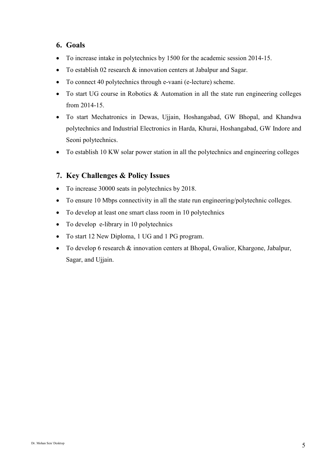#### **6. Goals**

- To increase intake in polytechnics by 1500 for the academic session 2014-15.
- To establish 02 research  $\&$  innovation centers at Jabalpur and Sagar.
- To connect 40 polytechnics through e-vaani (e-lecture) scheme.
- To start UG course in Robotics & Automation in all the state run engineering colleges from 2014-15.
- To start Mechatronics in Dewas, Ujjain, Hoshangabad, GW Bhopal, and Khandwa polytechnics and Industrial Electronics in Harda, Khurai, Hoshangabad, GW Indore and Seoni polytechnics.
- To establish 10 KW solar power station in all the polytechnics and engineering colleges

#### **7. Key Challenges & Policy Issues**

- To increase 30000 seats in polytechnics by 2018.
- To ensure 10 Mbps connectivity in all the state run engineering/polytechnic colleges.
- To develop at least one smart class room in 10 polytechnics
- To develop e-library in 10 polytechnics
- To start 12 New Diploma, 1 UG and 1 PG program.
- To develop 6 research & innovation centers at Bhopal, Gwalior, Khargone, Jabalpur, Sagar, and Ujjain.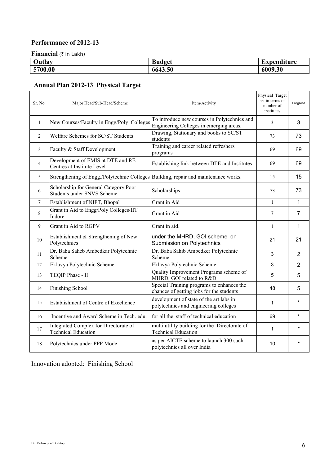#### **Performance of 2012-13**

**Financial** (₹ in Lakh)

| Outlay  | <b>Budget</b> | п.<br>Expenditure |
|---------|---------------|-------------------|
| 5700.00 | 6643.50       | 6009.30           |

# **Annual Plan 2012-13 Physical Target**

| Sr. No.      | Major Head/Sub-Head/Scheme                                                          | Item/Activity                                                                           | Physical Target<br>set in terms of<br>number of<br>institutes | Progress       |
|--------------|-------------------------------------------------------------------------------------|-----------------------------------------------------------------------------------------|---------------------------------------------------------------|----------------|
| $\mathbf{1}$ | New Courses/Faculty in Engg/Poly Colleges                                           | To introduce new courses in Polytechnics and<br>Engineering Colleges in emerging areas. | 3                                                             | 3              |
| 2            | Welfare Schemes for SC/ST Students                                                  | Drawing, Stationary and books to SC/ST<br>students                                      | 73                                                            | 73             |
| 3            | Faculty & Staff Development                                                         | Training and career related refreshers<br>programs                                      | 69                                                            | 69             |
| 4            | Development of EMIS at DTE and RE<br>Centres at Institute Level                     | Establishing link between DTE and Institutes                                            | 69                                                            | 69             |
| 5            | Strengthening of Engg./Polytechnic Colleges Building, repair and maintenance works. |                                                                                         | 15                                                            | 15             |
| 6            | Scholarship for General Category Poor<br>Students under SNVS Scheme                 | Scholarships                                                                            | 73                                                            | 73             |
| 7            | Establishment of NIFT, Bhopal                                                       | Grant in Aid                                                                            | $\mathbf{1}$                                                  | 1              |
| 8            | Grant in Aid to Engg/Poly Colleges/IIT<br>Indore                                    | Grant in Aid                                                                            | $\tau$                                                        | $\overline{7}$ |
| 9            | Grant in Aid to RGPV                                                                | Grant in aid.                                                                           | $\mathbf{1}$                                                  | $\mathbf{1}$   |
| 10           | Establishment & Strengthening of New<br>Polytechnics                                | under the MHRD, GOI scheme on<br>Submission on Polytechnics                             | 21                                                            | 21             |
| 11           | Dr. Baba Saheb Ambedkar Polytechnic<br>Scheme                                       | Dr. Baba Sahib Ambedker Polytechnic<br>Scheme                                           | 3                                                             | $\overline{2}$ |
| 12           | Eklavya Polytechnic Scheme                                                          | Eklavya Polytechnic Scheme                                                              | 3                                                             | $\overline{2}$ |
| 13           | TEQIP Phase - II                                                                    | Quality Improvement Programs scheme of<br>MHRD, GOI related to R&D                      | 5                                                             | 5              |
| 14           | <b>Finishing School</b>                                                             | Special Training programs to enhances the<br>chances of getting jobs for the students   | 48                                                            | 5              |
| 15           | Establishment of Centre of Excellence                                               | development of state of the art labs in<br>polytechnics and engineering colleges        | $\mathbf{1}$                                                  |                |
| 16           | Incentive and Award Scheme in Tech. edu.                                            | for all the staff of technical education                                                | 69                                                            | $\bullet$      |
| 17           | Integrated Complex for Directorate of<br><b>Technical Education</b>                 | multi utility building for the Directorate of<br><b>Technical Education</b>             | $\mathbf{1}$                                                  | $\star$        |
| 18           | Polytechnics under PPP Mode                                                         | as per AICTE scheme to launch 300 such<br>polytechnics all over India                   | 10                                                            |                |

Innovation adopted: Finishing School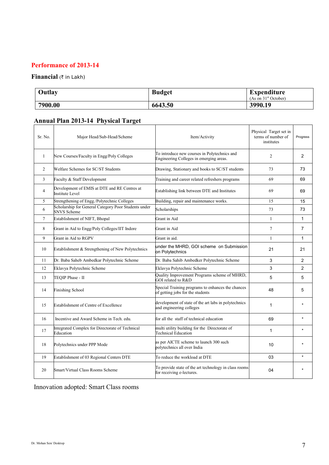#### **Performance of 2013-14**

#### **Financial** (₹ in Lakh)

| Outlay  | <b>Budget</b> | <b>Expenditure</b><br>(As on $31st$ October) |
|---------|---------------|----------------------------------------------|
| 7900.00 | 6643.50       | 3990.19                                      |

# **Annual Plan 2013-14 Physical Target**

| Sr. No.      | Major Head/Sub-Head/Scheme                                                 | Item/Activity                                                                           | Physical Target set in<br>terms of number of<br>institutes | Progress       |
|--------------|----------------------------------------------------------------------------|-----------------------------------------------------------------------------------------|------------------------------------------------------------|----------------|
| $\mathbf{1}$ | New Courses/Faculty in Engg/Poly Colleges                                  | To introduce new courses in Polytechnics and<br>Engineering Colleges in emerging areas. | $\overline{c}$                                             | $\overline{2}$ |
| 2            | Welfare Schemes for SC/ST Students                                         | Drawing, Stationary and books to SC/ST students                                         | 73                                                         | 73             |
| 3            | Faculty & Staff Development                                                | Training and career related refreshers programs                                         | 69                                                         | 69             |
| 4            | Development of EMIS at DTE and RE Centres at<br>Institute Level            | Establishing link between DTE and Institutes                                            | 69                                                         | 69             |
| 5.           | Strengthening of Engg./Polytechnic Colleges                                | Building, repair and maintenance works.                                                 | 15                                                         | 15             |
| 6            | Scholarship for General Category Poor Students under<br><b>SNVS</b> Scheme | Scholarships                                                                            | 73                                                         | 73             |
| 7            | Establishment of NIFT, Bhopal                                              | Grant in Aid                                                                            | $\mathbf{1}$                                               | 1              |
| 8            | Grant in Aid to Engg/Poly Colleges/IIT Indore                              | Grant in Aid                                                                            | $\tau$                                                     | $\overline{7}$ |
| 9            | Grant in Aid to RGPV                                                       | Grant in aid.                                                                           | $\mathbf{1}$                                               | 1              |
| 10           | Establishment & Strengthening of New Polytechnics                          | under the MHRD, GOI scheme on Submission<br>on Polytechnics                             | 21                                                         | 21             |
| 11           | Dr. Baba Saheb Ambedkar Polytechnic Scheme                                 | Dr. Baba Sahib Ambedker Polytechnic Scheme                                              | 3                                                          | $\overline{2}$ |
| 12           | Eklavya Polytechnic Scheme                                                 | Eklavya Polytechnic Scheme                                                              | 3                                                          | $\overline{2}$ |
| 13           | TEOIP Phase - II                                                           | Quality Improvement Programs scheme of MHRD,<br>GOI related to R&D                      | 5                                                          | 5              |
| 14           | <b>Finishing School</b>                                                    | Special Training programs to enhances the chances<br>of getting jobs for the students   | 48                                                         | 5              |
| 15           | Establishment of Centre of Excellence                                      | development of state of the art labs in polytechnics<br>and engineering colleges        | 1                                                          |                |
| 16           | Incentive and Award Scheme in Tech. edu.                                   | for all the staff of technical education                                                | 69                                                         |                |
| 17           | Integrated Complex for Directorate of Technical<br>Education               | multi utility building for the Directorate of<br><b>Technical Education</b>             | 1                                                          | $\star$        |
| 18           | Polytechnics under PPP Mode                                                | as per AICTE scheme to launch 300 such<br>polytechnics all over India                   | 10                                                         | $\star$        |
| 19           | Establishment of 03 Regional Centers DTE                                   | To reduce the workload at DTE                                                           | 03                                                         | $\star$        |
| 20           | Smart/Virtual Class Rooms Scheme                                           | To provide state of the art technology in class rooms<br>for receiving e-lectures.      | 04                                                         | $\star$        |

Innovation adopted: Smart Class rooms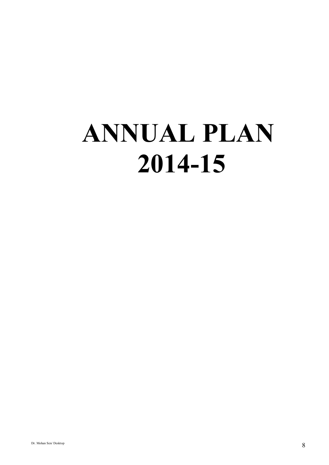# **ANNUAL PLAN 2014-15**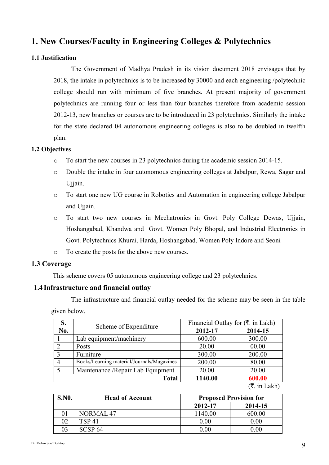## **1. New Courses/Faculty in Engineering Colleges & Polytechnics**

#### **1.1 Justification**

The Government of Madhya Pradesh in its vision document 2018 envisages that by 2018, the intake in polytechnics is to be increased by 30000 and each engineering /polytechnic college should run with minimum of five branches. At present majority of government polytechnics are running four or less than four branches therefore from academic session 2012-13, new branches or courses are to be introduced in 23 polytechnics. Similarly the intake for the state declared 04 autonomous engineering colleges is also to be doubled in twelfth plan.

#### **1.2 Objectives**

- o To start the new courses in 23 polytechnics during the academic session 2014-15.
- o Double the intake in four autonomous engineering colleges at Jabalpur, Rewa, Sagar and Ujjain.
- o To start one new UG course in Robotics and Automation in engineering college Jabalpur and Ujjain.
- o To start two new courses in Mechatronics in Govt. Poly College Dewas, Ujjain, Hoshangabad, Khandwa and Govt. Women Poly Bhopal, and Industrial Electronics in Govt. Polytechnics Khurai, Harda, Hoshangabad, Women Poly Indore and Seoni
- o To create the posts for the above new courses.

#### **1.3 Coverage**

This scheme covers 05 autonomous engineering college and 23 polytechnics.

#### **1.4 Infrastructure and financial outlay**

The infrastructure and financial outlay needed for the scheme may be seen in the table given below.

| S.             | Scheme of Expenditure                      | Financial Outlay for $(\overline{\xi})$ in Lakh) |                                                                                     |  |
|----------------|--------------------------------------------|--------------------------------------------------|-------------------------------------------------------------------------------------|--|
| No.            |                                            | 2012-17                                          | 2014-15                                                                             |  |
|                | Lab equipment/machinery                    | 600.00                                           | 300.00                                                                              |  |
| 2              | Posts                                      | 20.00                                            | 00.00                                                                               |  |
| 3              | Furniture                                  | 300.00                                           | 200.00                                                                              |  |
| $\overline{4}$ | Books/Learning material/Journals/Magazines | 200.00                                           | 80.00                                                                               |  |
|                | Maintenance / Repair Lab Equipment         | 20.00                                            | 20.00                                                                               |  |
|                | 1140.00<br>600.00<br><b>Total</b>          |                                                  |                                                                                     |  |
|                |                                            |                                                  | $\rightarrow$ $\rightarrow$ $\rightarrow$ $\rightarrow$ $\rightarrow$ $\rightarrow$ |  |

 $(\bar{\mathbf{\xi}})$  in Lakh)

| <b>S.NO.</b> | <b>Head of Account</b> | <b>Proposed Provision for</b> |                   |  |
|--------------|------------------------|-------------------------------|-------------------|--|
|              |                        | 2012-17                       | 2014-15           |  |
|              | <b>NORMAL 47</b>       | 1140.00                       | 600.00            |  |
| 02           | TSP 41                 | 0.00                          | 0.00 <sub>1</sub> |  |
| 03           | SCSP <sub>64</sub>     | $0.00\,$                      | 0.001             |  |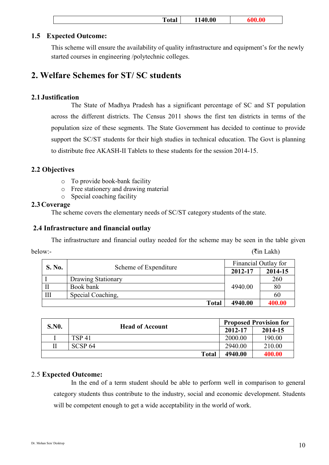|--|

#### **1.5 Expected Outcome:**

This scheme will ensure the availability of quality infrastructure and equipment's for the newly started courses in engineering /polytechnic colleges.

### **2. Welfare Schemes for ST/ SC students**

#### **2.1 Justification**

The State of Madhya Pradesh has a significant percentage of SC and ST population across the different districts. The Census 2011 shows the first ten districts in terms of the population size of these segments. The State Government has decided to continue to provide support the SC/ST students for their high studies in technical education. The Govt is planning to distribute free AKASH-II Tablets to these students for the session 2014-15.

#### **2.2 Objectives**

- o To provide book-bank facility
- o Free stationery and drawing material
- o Special coaching facility

#### **2.3Coverage**

The scheme covers the elementary needs of SC/ST category students of the state.

#### **2.4 Infrastructure and financial outlay**

The infrastructure and financial outlay needed for the scheme may be seen in the table given

| below:- | $(\overline{\mathfrak{k}}$ in Lakh) |
|---------|-------------------------------------|
|---------|-------------------------------------|

| <b>S. No.</b> |                       | Financial Outlay for |         |
|---------------|-----------------------|----------------------|---------|
|               | Scheme of Expenditure | 2012-17              | 2014-15 |
|               | Drawing Stationary    |                      | 260     |
|               | Book bank             | 4940.00              | 80      |
| III           | Special Coaching,     |                      | 60      |
|               | <b>Total</b>          | 4940.00              | 400.00  |

| <b>S.NO.</b> | <b>Head of Account</b> |         | <b>Proposed Provision for</b> |
|--------------|------------------------|---------|-------------------------------|
|              |                        | 2012-17 | 2014-15                       |
|              | <b>TSP 41</b>          | 2000.00 | 190.00                        |
|              | SCSP <sub>64</sub>     | 2940.00 | 210.00                        |
|              | <b>Total</b>           | 4940.00 | 400.00                        |

#### 2.5 **Expected Outcome:**

In the end of a term student should be able to perform well in comparison to general category students thus contribute to the industry, social and economic development. Students will be competent enough to get a wide acceptability in the world of work.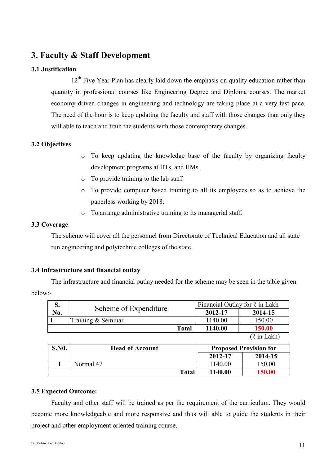# **3. Faculty & Staff Development**

#### **3.1 Justification**

12<sup>th</sup> Five Year Plan has clearly laid down the emphasis on quality education rather than quantity in professional courses like Engineering Degree and Diploma courses. The market economy driven changes in engineering and technology are taking place at a very fast pace. The need of the hour is to keep updating the faculty and staff with those changes than only they will able to teach and train the students with those contemporary changes.

#### **3.2 Objectives**

- o To keep updating the knowledge base of the faculty by organizing faculty development programs at IITs, and IIMs.
- o To provide training to the lab staff.
- o To provide computer based training to all its employees so as to achieve the paperless working by 2018.
- o To arrange administrative training to its managerial staff.

#### **3.3 Coverage**

The scheme will cover all the personnel from Directorate of Technical Education and all state run engineering and polytechnic colleges of the state.

#### **3.4 Infrastructure and financial outlay**

The infrastructure and financial outlay needed for the scheme may be seen in the table given below:-

| p.  | Scheme of Expenditure | Financial Outlay for $\bar{\tau}$ in Lakh |                                                                                                                                                                                                                                                                                                                    |
|-----|-----------------------|-------------------------------------------|--------------------------------------------------------------------------------------------------------------------------------------------------------------------------------------------------------------------------------------------------------------------------------------------------------------------|
| No. |                       | 2012-17                                   | 2014-15                                                                                                                                                                                                                                                                                                            |
|     | Training & Seminar    | 1140.00                                   | 150.00                                                                                                                                                                                                                                                                                                             |
|     | <b>Total</b>          | 1140.00                                   | 150.00                                                                                                                                                                                                                                                                                                             |
|     |                       |                                           | $\sqrt{2}$ $\sqrt{2}$ $\sqrt{2}$ $\sqrt{2}$ $\sqrt{2}$ $\sqrt{2}$ $\sqrt{2}$ $\sqrt{2}$ $\sqrt{2}$ $\sqrt{2}$ $\sqrt{2}$ $\sqrt{2}$ $\sqrt{2}$ $\sqrt{2}$ $\sqrt{2}$ $\sqrt{2}$ $\sqrt{2}$ $\sqrt{2}$ $\sqrt{2}$ $\sqrt{2}$ $\sqrt{2}$ $\sqrt{2}$ $\sqrt{2}$ $\sqrt{2}$ $\sqrt{2}$ $\sqrt{2}$ $\sqrt{2}$ $\sqrt{2$ |

 $(\bar{\tau}$  in Lakh)

| <b>S.NO.</b> | <b>Head of Account</b> |         | <b>Proposed Provision for</b> |  |
|--------------|------------------------|---------|-------------------------------|--|
|              |                        | 2012-17 | 2014-15                       |  |
|              | Normal 47              | 1140.00 | 150.00                        |  |
|              | <b>Total</b>           | 1140.00 | 150.00                        |  |

#### **3.5 Expected Outcome:**

Faculty and other staff will be trained as per the requirement of the curriculum. They would become more knowledgeable and more responsive and thus will able to guide the students in their project and other employment oriented training course.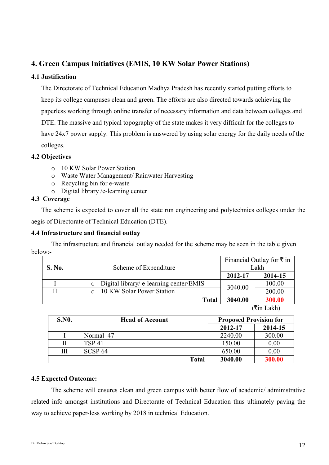#### **4. Green Campus Initiatives (EMIS, 10 KW Solar Power Stations)**

#### **4.1 Justification**

The Directorate of Technical Education Madhya Pradesh has recently started putting efforts to keep its college campuses clean and green. The efforts are also directed towards achieving the paperless working through online transfer of necessary information and data between colleges and DTE. The massive and typical topography of the state makes it very difficult for the colleges to have 24x7 power supply. This problem is answered by using solar energy for the daily needs of the colleges.

#### **4.2 Objectives**

- o 10 KW Solar Power Station
- o Waste Water Management/ Rainwater Harvesting
- o Recycling bin for e-waste
- o Digital library /e-learning center

#### **4.3 Coverage**

 The scheme is expected to cover all the state run engineering and polytechnics colleges under the aegis of Directorate of Technical Education (DTE).

#### **4.4 Infrastructure and financial outlay**

The infrastructure and financial outlay needed for the scheme may be seen in the table given below:-

| <b>S. No.</b> | Scheme of Expenditure                   |         | Financial Outlay for $\bar{\tau}$ in<br>Lakh |
|---------------|-----------------------------------------|---------|----------------------------------------------|
|               |                                         | 2012-17 | 2014-15                                      |
|               | Digital library/ e-learning center/EMIS |         | 100.00                                       |
| П             | o 10 KW Solar Power Station             | 3040.00 | 200.00                                       |
|               | <b>Total</b>                            | 3040.00 | 300.00                                       |

 $(\overline{\mathfrak{k}}$ in Lakh)

| <b>S.NO.</b> | <b>Head of Account</b> | <b>Proposed Provision for</b> |         |
|--------------|------------------------|-------------------------------|---------|
|              |                        | 2012-17                       | 2014-15 |
|              | Normal 47              | 2240.00                       | 300.00  |
|              | <b>TSP 41</b>          | 150.00                        | 0.00    |
| Ш            | SCSP <sub>64</sub>     | 650.00                        | 0.00    |
|              | <b>Total</b>           | 3040.00                       | 300.00  |

#### **4.5 Expected Outcome:**

The scheme will ensures clean and green campus with better flow of academic/ administrative related info amongst institutions and Directorate of Technical Education thus ultimately paving the way to achieve paper-less working by 2018 in technical Education.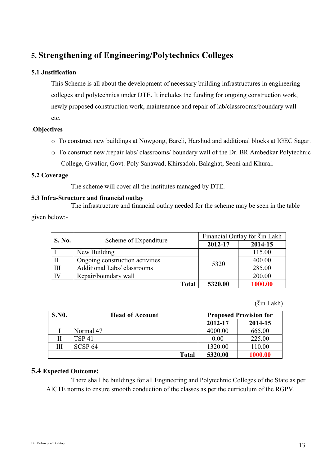# **5. Strengthening of Engineering/Polytechnics Colleges**

#### **5.1 Justification**

This Scheme is all about the development of necessary building infrastructures in engineering colleges and polytechnics under DTE. It includes the funding for ongoing construction work, newly proposed construction work, maintenance and repair of lab/classrooms/boundary wall etc.

#### .**Objectives**

- o To construct new buildings at Nowgong, Bareli, Harshud and additional blocks at IGEC Sagar.
- o To construct new /repair labs/ classrooms/ boundary wall of the Dr. BR Ambedkar Polytechnic College, Gwalior, Govt. Poly Sanawad, Khirsadoh, Balaghat, Seoni and Khurai.

#### **5.2 Coverage**

The scheme will cover all the institutes managed by DTE.

#### **5.3 Infra-Structure and financial outlay**

The infrastructure and financial outlay needed for the scheme may be seen in the table given below:-

| <b>S. No.</b> | Scheme of Expenditure           | Financial Outlay for ₹in Lakh |         |
|---------------|---------------------------------|-------------------------------|---------|
|               |                                 | 2012-17                       | 2014-15 |
|               | New Building                    | 5320                          | 115.00  |
| $\mathbf{I}$  | Ongoing construction activities |                               | 400.00  |
| $\prod$       | Additional Labs/ classrooms     |                               | 285.00  |
| IV            | Repair/boundary wall            |                               | 200.00  |
|               | <b>Total</b>                    | 5320.00                       | 1000.00 |

 $(\overline{\mathfrak{k}}$ in Lakh)

| <b>S.NO.</b> | <b>Head of Account</b> | <b>Proposed Provision for</b> |         |
|--------------|------------------------|-------------------------------|---------|
|              |                        | 2012-17                       | 2014-15 |
|              | Normal 47              | 4000.00                       | 665.00  |
|              | <b>TSP 41</b>          | 0.00                          | 225.00  |
|              | SCSP <sub>64</sub>     | 1320.00                       | 110.00  |
|              | <b>Total</b>           | 5320.00                       | 1000.00 |

#### **5.4 Expected Outcome:**

There shall be buildings for all Engineering and Polytechnic Colleges of the State as per AICTE norms to ensure smooth conduction of the classes as per the curriculum of the RGPV.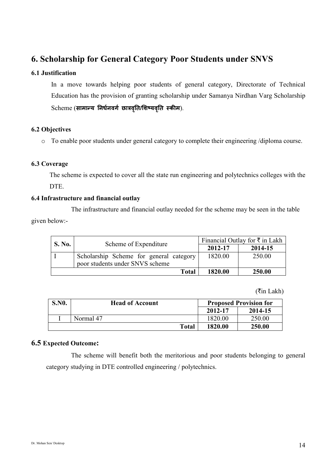## **6. Scholarship for General Category Poor Students under SNVS**

#### **6.1 Justification**

In a move towards helping poor students of general category, Directorate of Technical Education has the provision of granting scholarship under Samanya Nirdhan Varg Scholarship  $\operatorname{Scheme}\left(\mathbf{\mathsf{H}}\mathsf{\mathsf{I}}\mathsf{\mathsf{I}}\mathsf{\mathsf{I}}\mathsf{\mathsf{I}}\mathsf{\mathsf{I}}\mathsf{\mathsf{I}}\mathsf{\mathsf{I}}\mathsf{\mathsf{I}}\mathsf{\mathsf{I}}\mathsf{\mathsf{I}}\mathsf{\mathsf{I}}\mathsf{\mathsf{I}}\mathsf{\mathsf{I}}\mathsf{\mathsf{I}}\mathsf{\mathsf{I}}\mathsf{\mathsf{I}}\mathsf{\mathsf{I}}\mathsf{\mathsf{I}}\mathsf{\mathsf{I}}\mathsf{\mathsf{I}}\mathsf{\mathsf{I}}\mathsf{\mathsf{I}}\mathsf{\math$ 

#### **6.2 Objectives**

o To enable poor students under general category to complete their engineering /diploma course.

#### **6.3 Coverage**

The scheme is expected to cover all the state run engineering and polytechnics colleges with the DTE<sub>.</sub>

#### **6.4 Infrastructure and financial outlay**

The infrastructure and financial outlay needed for the scheme may be seen in the table given below:-

| <b>S. No.</b> | Scheme of Expenditure                                                      | Financial Outlay for $\bar{\tau}$ in Lakh |               |
|---------------|----------------------------------------------------------------------------|-------------------------------------------|---------------|
|               |                                                                            | 2012-17                                   | 2014-15       |
|               | Scholarship Scheme for general category<br>poor students under SNVS scheme | 1820.00                                   | 250.00        |
|               | Total                                                                      | 1820.00                                   | <b>250.00</b> |

 $(\overline{\mathfrak{k}}$ in Lakh)

| <b>S.NO.</b> | <b>Head of Account</b> |       | <b>Proposed Provision for</b> |         |
|--------------|------------------------|-------|-------------------------------|---------|
|              |                        |       | 2012-17                       | 2014-15 |
|              | Normal 47              |       | 1820.00                       | 250.00  |
|              |                        | Total | 1820.00                       | 250.00  |

#### **6.5 Expected Outcome:**

The scheme will benefit both the meritorious and poor students belonging to general category studying in DTE controlled engineering / polytechnics.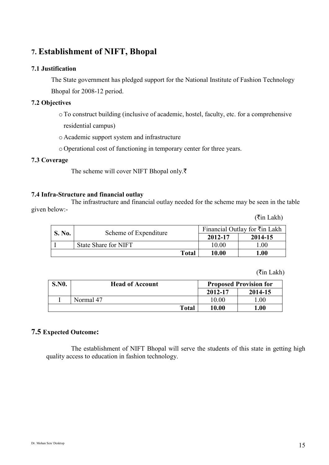# **7. Establishment of NIFT, Bhopal**

#### **7.1 Justification**

The State government has pledged support for the National Institute of Fashion Technology Bhopal for 2008-12 period.

#### **7.2 Objectives**

- oTo construct building (inclusive of academic, hostel, faculty, etc. for a comprehensive
	- residential campus)
- o Academic support system and infrastructure
- o Operational cost of functioning in temporary center for three years.

#### **7.3 Coverage**

The scheme will cover NIFT Bhopal only. $\bar{\tau}$ 

#### **7.4 Infra-Structure and financial outlay**

The infrastructure and financial outlay needed for the scheme may be seen in the table given below:-

| <b>S. No.</b> | Scheme of Expenditure |         | Financial Outlay for $\overline{\tau}$ in Lakh |  |
|---------------|-----------------------|---------|------------------------------------------------|--|
|               |                       | 2012-17 | 2014-15                                        |  |
|               | State Share for NIFT  | 10.00   | $.00\,$                                        |  |
|               | <b>Total</b>          | 10.00   | 0.00                                           |  |

#### $(\overline{\mathfrak{k}}$ in Lakh)

 $(\overline{\mathsf{m}}$  Lakh)

| <b>S.NO.</b> | <b>Head of Account</b> |       | <b>Proposed Provision for</b> |         |
|--------------|------------------------|-------|-------------------------------|---------|
|              |                        |       | 2012-17                       | 2014-15 |
|              | Normal 47              |       | 10.00                         | .00     |
|              |                        | Total | 10.00                         | 1.00    |

#### **7.5 Expected Outcome:**

The establishment of NIFT Bhopal will serve the students of this state in getting high quality access to education in fashion technology.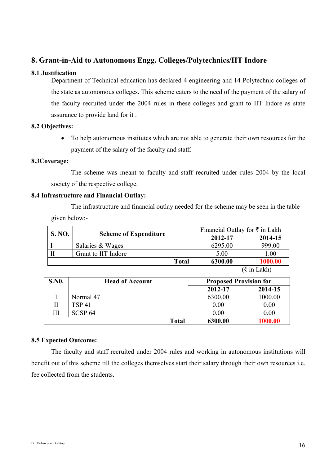#### **8. Grant-in-Aid to Autonomous Engg. Colleges/Polytechnics/IIT Indore**

#### **8.1 Justification**

Department of Technical education has declared 4 engineering and 14 Polytechnic colleges of the state as autonomous colleges. This scheme caters to the need of the payment of the salary of the faculty recruited under the 2004 rules in these colleges and grant to IIT Indore as state assurance to provide land for it .

#### **8.2 Objectives:**

• To help autonomous institutes which are not able to generate their own resources for the payment of the salary of the faculty and staff.

#### **8.3Coverage:**

 The scheme was meant to faculty and staff recruited under rules 2004 by the local society of the respective college.

#### **8.4 Infrastructure and Financial Outlay:**

The infrastructure and financial outlay needed for the scheme may be seen in the table given below:-

| <b>S. NO.</b> |                              | Financial Outlay for $\bar{\tau}$ in Lakh |             |
|---------------|------------------------------|-------------------------------------------|-------------|
|               | <b>Scheme of Expenditure</b> | 2012-17                                   | 2014-15     |
|               | Salaries & Wages             | 6295.00                                   | 999.00      |
| П             | Grant to IIT Indore          | 5.00                                      | 1.00        |
|               | <b>Total</b>                 | 6300.00                                   | 1000.00     |
|               |                              |                                           | (₹ in Lakh) |

| <b>S.NO.</b> | <b>Head of Account</b> | <b>Proposed Provision for</b> |         |
|--------------|------------------------|-------------------------------|---------|
|              |                        | 2012-17                       | 2014-15 |
|              | Normal 47              | 6300.00                       | 1000.00 |
|              | TSP 41                 | 0.00                          | 0.00    |
|              | SCSP <sub>64</sub>     | 0.00                          | 0.00    |
|              | <b>Total</b>           | 6300.00                       | 1000.00 |

#### **8.5 Expected Outcome:**

The faculty and staff recruited under 2004 rules and working in autonomous institutions will benefit out of this scheme till the colleges themselves start their salary through their own resources i.e. fee collected from the students.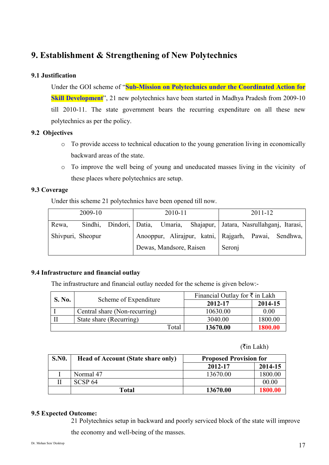# **9. Establishment & Strengthening of New Polytechnics**

#### **9.1 Justification**

Under the GOI scheme of "**Sub-Mission on Polytechnics under the Coordinated Action for Skill Development**", 21 new polytechnics have been started in Madhya Pradesh from 2009-10 till 2010-11. The state government bears the recurring expenditure on all these new polytechnics as per the policy.

#### **9.2 Objectives**

- o To provide access to technical education to the young generation living in economically backward areas of the state.
- o To improve the well being of young and uneducated masses living in the vicinity of these places where polytechnics are setup.

#### **9.3 Coverage**

Under this scheme 21 polytechnics have been opened till now.

| 2009-10           |  |  | 2010-11                 |                                                      | $2011 - 12$ |  |  |                                                                           |
|-------------------|--|--|-------------------------|------------------------------------------------------|-------------|--|--|---------------------------------------------------------------------------|
| Rewa,             |  |  |                         |                                                      |             |  |  | Sindhi, Dindori, Datia, Umaria, Shajapur, Jatara, Nasrullahganj, Itarasi, |
| Shivpuri, Sheopur |  |  |                         | Anooppur, Alirajpur, katni, Rajgarh, Pawai, Sendhwa, |             |  |  |                                                                           |
|                   |  |  | Dewas, Mandsore, Raisen |                                                      | Seronj      |  |  |                                                                           |

#### **9.4 Infrastructure and financial outlay**

The infrastructure and financial outlay needed for the scheme is given below:-

| <b>S. No.</b> |                               | Financial Outlay for $\overline{\tau}$ in Lakh |         |
|---------------|-------------------------------|------------------------------------------------|---------|
|               | Scheme of Expenditure         | 2012-17                                        | 2014-15 |
|               | Central share (Non-recurring) | 10630.00                                       | 0.00    |
|               | State share (Recurring)       | 3040.00                                        | 1800.00 |
|               | Total                         | 13670.00                                       | 1800 00 |

 $(\overline{\mathfrak{k}}$ in Lakh)

| <b>S.NO.</b> | <b>Head of Account (State share only)</b> | <b>Proposed Provision for</b> |         |  |
|--------------|-------------------------------------------|-------------------------------|---------|--|
|              |                                           | 2012-17                       | 2014-15 |  |
|              | Normal 47                                 | 13670.00                      | 1800.00 |  |
|              | SCSP <sub>64</sub>                        |                               | 00.00   |  |
|              | <b>Total</b>                              | 13670.00                      | 1800.00 |  |

#### **9.5 Expected Outcome:**

21 Polytechnics setup in backward and poorly serviced block of the state will improve the economy and well-being of the masses.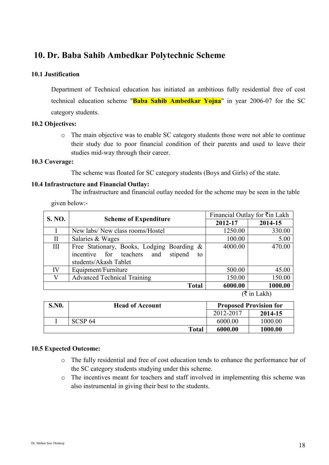# **10. Dr. Baba Sahib Ambedkar Polytechnic Scheme**

#### **10.1 Justification**

Department of Technical education has initiated an ambitious fully residential free of cost technical education scheme "**Baba Sahib Ambedkar Yojna**" in year 2006-07 for the SC category students.

#### **10.2 Objectives:**

o The main objective was to enable SC category students those were not able to continue their study due to poor financial condition of their parents and used to leave their studies mid-way through their career.

#### **10.3 Coverage:**

The scheme was floated for SC category students (Boys and Girls) of the state.

#### **10.4 Infrastructure and Financial Outlay:**

The infrastructure and financial outlay needed for the scheme may be seen in the table

given below:-

| S. NO.       |                                             | Financial Outlay for ₹in Lakh |         |
|--------------|---------------------------------------------|-------------------------------|---------|
|              | <b>Scheme of Expenditure</b>                | 2012-17                       | 2014-15 |
|              | New labs/ New class rooms/Hostel            | 1250.00                       | 330.00  |
| $\mathbf{I}$ | Salaries & Wages                            | 100.00                        | 5.00    |
| III          | Free Stationary, Books, Lodging Boarding &  | 4000.00                       | 470.00  |
|              | incentive for teachers and<br>stipend<br>to |                               |         |
|              | students/Akash Tablet                       |                               |         |
| IV           | Equipment/Furniture                         | 500.00                        | 45.00   |
| V            | <b>Advanced Technical Training</b>          | 150.00                        | 150.00  |
|              | <b>Total</b>                                | 6000.00                       | 1000.00 |

 $(\bar{\tau}$  in Lakh)

| <b>S.NO.</b> | <b>Head of Account</b> |           | <b>Proposed Provision for</b> |
|--------------|------------------------|-----------|-------------------------------|
|              |                        | 2012-2017 | 2014-15                       |
|              | SCSP <sub>64</sub>     | 6000.00   | 1000.00                       |
|              | <b>Total</b>           | 6000.00   | 1000.00                       |

#### **10.5 Expected Outcome:**

- o The fully residential and free of cost education tends to enhance the performance bar of the SC category students studying under this scheme.
- o The incentives meant for teachers and staff involved in implementing this scheme was also instrumental in giving their best to the students.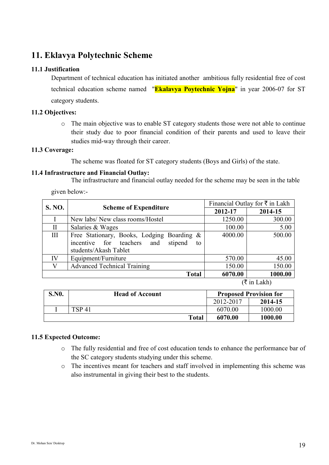# **11. Eklavya Polytechnic Scheme**

#### **11.1 Justification**

Department of technical education has initiated another ambitious fully residential free of cost technical education scheme named "**Ekalavya Poytechnic Yojna**" in year 2006-07 for ST category students.

#### **11.2 Objectives:**

o The main objective was to enable ST category students those were not able to continue their study due to poor financial condition of their parents and used to leave their studies mid-way through their career.

#### **11.3 Coverage:**

The scheme was floated for ST category students (Boys and Girls) of the state.

#### **11.4 Infrastructure and Financial Outlay:**

The infrastructure and financial outlay needed for the scheme may be seen in the table

given below:-

| S. NO.       |                                                                                                                    |         | Financial Outlay for $\overline{\tau}$ in Lakh |
|--------------|--------------------------------------------------------------------------------------------------------------------|---------|------------------------------------------------|
|              | <b>Scheme of Expenditure</b>                                                                                       | 2012-17 | 2014-15                                        |
| I            | New labs/ New class rooms/Hostel                                                                                   | 1250.00 | 300.00                                         |
| $\mathbf{I}$ | Salaries & Wages                                                                                                   | 100.00  | 5.00                                           |
| Ш            | Free Stationary, Books, Lodging Boarding &<br>stipend<br>incentive for teachers and<br>to<br>students/Akash Tablet | 4000.00 | 500.00                                         |
| IV           | Equipment/Furniture                                                                                                | 570.00  | 45.00                                          |
| V            | <b>Advanced Technical Training</b>                                                                                 | 150.00  | 150.00                                         |
|              | <b>Total</b>                                                                                                       | 6070.00 | 1000.00                                        |
|              |                                                                                                                    |         | (₹ in Lakh)                                    |

| <b>S.NO.</b> | <b>Head of Account</b> |           | <b>Proposed Provision for</b> |  |
|--------------|------------------------|-----------|-------------------------------|--|
|              |                        | 2012-2017 | 2014-15                       |  |
|              | <b>TSP 41</b>          | 6070.00   | 1000.00                       |  |
|              | <b>Total</b>           | 6070.00   | 1000.00                       |  |

#### **11.5 Expected Outcome:**

- o The fully residential and free of cost education tends to enhance the performance bar of the SC category students studying under this scheme.
- o The incentives meant for teachers and staff involved in implementing this scheme was also instrumental in giving their best to the students.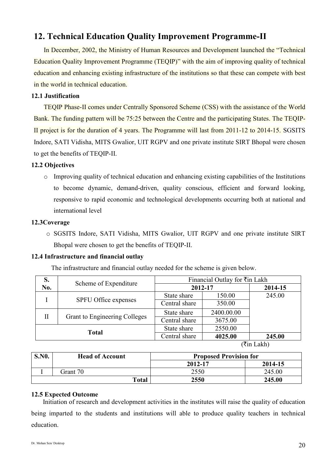# **12. Technical Education Quality Improvement Programme-II**

In December, 2002, the Ministry of Human Resources and Development launched the "Technical Education Quality Improvement Programme (TEQIP)" with the aim of improving quality of technical education and enhancing existing infrastructure of the institutions so that these can compete with best in the world in technical education.

#### **12.1 Justification**

TEQIP Phase-II comes under Centrally Sponsored Scheme (CSS) with the assistance of the World Bank. The funding pattern will be 75:25 between the Centre and the participating States. The TEQIP-II project is for the duration of 4 years. The Programme will last from 2011-12 to 2014-15. SGSITS Indore, SATI Vidisha, MITS Gwalior, UIT RGPV and one private institute SIRT Bhopal were chosen to get the benefits of TEQIP-II.

#### **12.2 Objectives**

o Improving quality of technical education and enhancing existing capabilities of the Institutions to become dynamic, demand-driven, quality conscious, efficient and forward looking, responsive to rapid economic and technological developments occurring both at national and international level

#### **12.3Coverage**

o SGSITS Indore, SATI Vidisha, MITS Gwalior, UIT RGPV and one private institute SIRT Bhopal were chosen to get the benefits of TEQIP-II.

#### **12.4 Infrastructure and financial outlay**

The infrastructure and financial outlay needed for the scheme is given below.

| S.           | Scheme of Expenditure         | Financial Outlay for $\overline{\tau}$ in Lakh |            |         |
|--------------|-------------------------------|------------------------------------------------|------------|---------|
| No.          |                               | 2012-17                                        |            | 2014-15 |
|              |                               | State share                                    | 150.00     | 245.00  |
|              | SPFU Office expenses          | Central share                                  | 350.00     |         |
| П            |                               | State share                                    | 2400.00.00 |         |
|              | Grant to Engineering Colleges | Central share                                  | 3675.00    |         |
| <b>Total</b> |                               | State share                                    | 2550.00    |         |
|              |                               | Central share                                  | 4025.00    | 245.00  |

 $(\overline{\mathfrak{k}}$ in Lakh)

| <b>S.NO.</b> | <b>Head of Account</b> | <b>Proposed Provision for</b> |         |
|--------------|------------------------|-------------------------------|---------|
|              |                        | 2012-17                       | 2014-15 |
|              | Grant 70               | 2550                          | 245.00  |
|              | Total                  | 2550                          | 245.00  |

#### **12.5 Expected Outcome**

Initiation of research and development activities in the institutes will raise the quality of education being imparted to the students and institutions will able to produce quality teachers in technical education.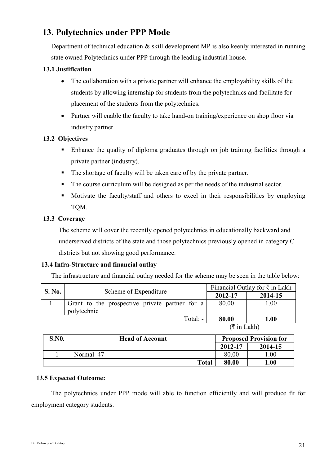# **13. Polytechnics under PPP Mode**

Department of technical education & skill development MP is also keenly interested in running state owned Polytechnics under PPP through the leading industrial house.

#### **13.1 Justification**

- The collaboration with a private partner will enhance the employability skills of the students by allowing internship for students from the polytechnics and facilitate for placement of the students from the polytechnics.
- Partner will enable the faculty to take hand-on training/experience on shop floor via industry partner.

#### **13.2 Objectives**

- Enhance the quality of diploma graduates through on job training facilities through a private partner (industry).
- The shortage of faculty will be taken care of by the private partner.
- The course curriculum will be designed as per the needs of the industrial sector.
- Motivate the faculty/staff and others to excel in their responsibilities by employing TQM.

#### **13.3 Coverage**

The scheme will cover the recently opened polytechnics in educationally backward and underserved districts of the state and those polytechnics previously opened in category C districts but not showing good performance.

#### **13.4 Infra-Structure and financial outlay**

The infrastructure and financial outlay needed for the scheme may be seen in the table below:

| <b>S. No.</b> | Scheme of Expenditure                                         | Financial Outlay for $\bar{\tau}$ in Lakh |         |
|---------------|---------------------------------------------------------------|-------------------------------------------|---------|
|               |                                                               | 2012-17                                   | 2014-15 |
|               | Grant to the prospective private partner for a<br>polytechnic | 80.00                                     | 1.00    |
|               | Total: $-$                                                    | 80.00                                     | 1.00    |
|               |                                                               | $\sqrt{+}$ : T $-1.1$ .                   |         |

 $(\xi$  in Lakh)

| <b>S.NO.</b> | <b>Head of Account</b> |         | <b>Proposed Provision for</b> |
|--------------|------------------------|---------|-------------------------------|
|              |                        | 2012-17 | 2014-15                       |
|              | Normal 47              | 80.00   | .00                           |
|              | <b>Total</b>           | 80.00   | $1.00\,$                      |

#### **13.5 Expected Outcome:**

The polytechnics under PPP mode will able to function efficiently and will produce fit for employment category students.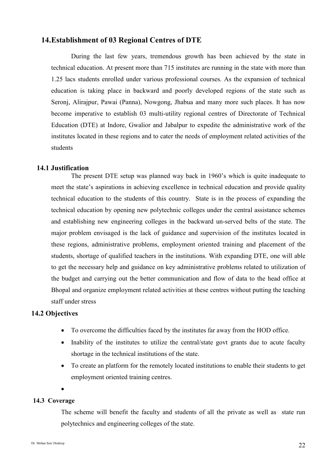#### **14.Establishment of 03 Regional Centres of DTE**

During the last few years, tremendous growth has been achieved by the state in technical education. At present more than 715 institutes are running in the state with more than 1.25 lacs students enrolled under various professional courses. As the expansion of technical education is taking place in backward and poorly developed regions of the state such as Seronj, Alirajpur, Pawai (Panna), Nowgong, Jhabua and many more such places. It has now become imperative to establish 03 multi-utility regional centres of Directorate of Technical Education (DTE) at Indore, Gwalior and Jabalpur to expedite the administrative work of the institutes located in these regions and to cater the needs of employment related activities of the students

#### **14.1 Justification**

The present DTE setup was planned way back in 1960's which is quite inadequate to meet the state's aspirations in achieving excellence in technical education and provide quality technical education to the students of this country. State is in the process of expanding the technical education by opening new polytechnic colleges under the central assistance schemes and establishing new engineering colleges in the backward un-served belts of the state. The major problem envisaged is the lack of guidance and supervision of the institutes located in these regions, administrative problems, employment oriented training and placement of the students, shortage of qualified teachers in the institutions. With expanding DTE, one will able to get the necessary help and guidance on key administrative problems related to utilization of the budget and carrying out the better communication and flow of data to the head office at Bhopal and organize employment related activities at these centres without putting the teaching staff under stress

#### **14.2 Objectives**

- To overcome the difficulties faced by the institutes far away from the HOD office.
- Inability of the institutes to utilize the central/state govt grants due to acute faculty shortage in the technical institutions of the state.
- To create an platform for the remotely located institutions to enable their students to get employment oriented training centres.
- 

•

#### **14.3 Coverage**

The scheme will benefit the faculty and students of all the private as well as state run polytechnics and engineering colleges of the state.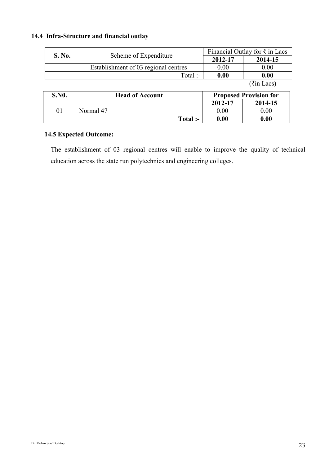#### **14.4 Infra-Structure and financial outlay**

| S. No. | Scheme of Expenditure                | Financial Outlay for $\overline{\tau}$ in Lacs |                         |  |
|--------|--------------------------------------|------------------------------------------------|-------------------------|--|
|        |                                      | 2012-17                                        | 2014-15                 |  |
|        | Establishment of 03 regional centres | 0.00                                           | 0.00                    |  |
|        | Total :-                             | 0.00                                           | 0.00                    |  |
|        |                                      |                                                | $(3\bar{\tau}$ in Lacs) |  |

| <b>S.NO.</b> | <b>Head of Account</b> |         | <b>Proposed Provision for</b> |
|--------------|------------------------|---------|-------------------------------|
|              |                        | 2012-17 | 2014-15                       |
|              | Normal 47              | 0.00    | 0.00                          |
|              | Total :-               | 0.00    | 0.00                          |

#### **14.5 Expected Outcome:**

The establishment of 03 regional centres will enable to improve the quality of technical education across the state run polytechnics and engineering colleges.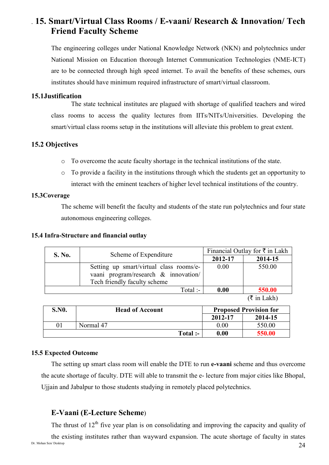# . **15. Smart/Virtual Class Rooms / E-vaani/ Research & Innovation/ Tech Friend Faculty Scheme**

The engineering colleges under National Knowledge Network (NKN) and polytechnics under National Mission on Education thorough Internet Communication Technologies (NME-ICT) are to be connected through high speed internet. To avail the benefits of these schemes, ours institutes should have minimum required infrastructure of smart/virtual classroom.

#### **15.1Justification**

The state technical institutes are plagued with shortage of qualified teachers and wired class rooms to access the quality lectures from IITs/NITs/Universities. Developing the smart/virtual class rooms setup in the institutions will alleviate this problem to great extent.

#### **15.2 Objectives**

- o To overcome the acute faculty shortage in the technical institutions of the state.
- o To provide a facility in the institutions through which the students get an opportunity to interact with the eminent teachers of higher level technical institutions of the country.

#### **15.3Coverage**

The scheme will benefit the faculty and students of the state run polytechnics and four state autonomous engineering colleges.

#### **15.4 Infra-Structure and financial outlay**

| <b>S. No.</b> | Scheme of Expenditure                   | Financial Outlay for $\bar{\tau}$ in Lakh |                     |
|---------------|-----------------------------------------|-------------------------------------------|---------------------|
|               |                                         | 2012-17                                   | 2014-15             |
|               | Setting up smart/virtual class rooms/e- | 0.00                                      | 550.00              |
|               | vaani program/research & innovation/    |                                           |                     |
|               | Tech friendly faculty scheme            |                                           |                     |
|               | Total :-                                | 0.00                                      | 550.00              |
|               |                                         |                                           | $(F \cup I \cup I)$ |

 $(\xi$  in Lakh)

| <b>S.NO.</b> | <b>Head of Account</b> |         | <b>Proposed Provision for</b> |
|--------------|------------------------|---------|-------------------------------|
|              |                        | 2012-17 | 2014-15                       |
| 01           | Normal 47              | 0.00    | 550.00                        |
|              | Total :-               | 0.00    | 550.00-                       |

#### **15.5 Expected Outcome**

The setting up smart class room will enable the DTE to run **e-vaani** scheme and thus overcome the acute shortage of faculty. DTE will able to transmit the e- lecture from major cities like Bhopal, Ujjain and Jabalpur to those students studying in remotely placed polytechnics.

#### **E-Vaani (E-Lecture Scheme**)

The thrust of  $12<sup>th</sup>$  five year plan is on consolidating and improving the capacity and quality of

Dr. Mohan Sen/ Desktop  $24$ the existing institutes rather than wayward expansion. The acute shortage of faculty in states<br>
Dr. Mohan Sen/Desktop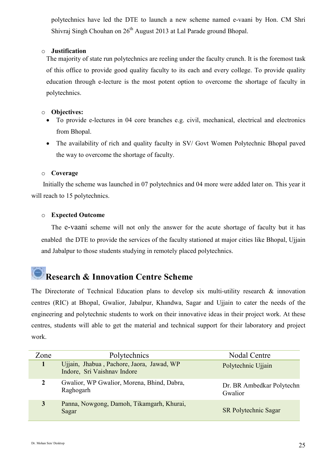polytechnics have led the DTE to launch a new scheme named e-vaani by Hon. CM Shri Shivraj Singh Chouhan on 26<sup>th</sup> August 2013 at Lal Parade ground Bhopal.

#### o **Justification**

The majority of state run polytechnics are reeling under the faculty crunch. It is the foremost task of this office to provide good quality faculty to its each and every college. To provide quality education through e-lecture is the most potent option to overcome the shortage of faculty in polytechnics.

#### o **Objectives:**

- To provide e-lectures in 04 core branches e.g. civil, mechanical, electrical and electronics from Bhopal.
- The availability of rich and quality faculty in SV/ Govt Women Polytechnic Bhopal paved the way to overcome the shortage of faculty.

#### o **Coverage**

Initially the scheme was launched in 07 polytechnics and 04 more were added later on. This year it will reach to 15 polytechnics.

#### o **Expected Outcome**

The e-vaani scheme will not only the answer for the acute shortage of faculty but it has enabled the DTE to provide the services of the faculty stationed at major cities like Bhopal, Ujjain and Jabalpur to those students studying in remotely placed polytechnics.

# **Research & Innovation Centre Scheme**

The Directorate of Technical Education plans to develop six multi-utility research & innovation centres (RIC) at Bhopal, Gwalior, Jabalpur, Khandwa, Sagar and Ujjain to cater the needs of the engineering and polytechnic students to work on their innovative ideas in their project work. At these centres, students will able to get the material and technical support for their laboratory and project work.

| Zone | Polytechnics                                                             | Nodal Centre                         |
|------|--------------------------------------------------------------------------|--------------------------------------|
|      | Ujjain, Jhabua, Pachore, Jaora, Jawad, WP<br>Indore, Sri Vaishnav Indore | Polytechnic Ujjain                   |
|      | Gwalior, WP Gwalior, Morena, Bhind, Dabra,<br>Raghogarh                  | Dr. BR Ambedkar Polytechn<br>Gwalior |
| 3    | Panna, Nowgong, Damoh, Tikamgarh, Khurai,<br>Sagar                       | <b>SR Polytechnic Sagar</b>          |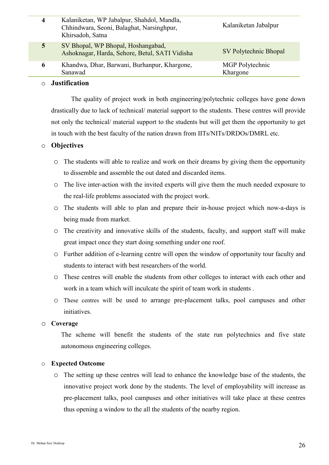| 4 | Kalaniketan, WP Jabalpur, Shahdol, Mandla,<br>Chhindwara, Seoni, Balaghat, Narsinghpur,<br>Khirsadoh, Satna | Kalaniketan Jabalpur        |
|---|-------------------------------------------------------------------------------------------------------------|-----------------------------|
| 5 | SV Bhopal, WP Bhopal, Hoshangabad,<br>Ashoknagar, Harda, Sehore, Betul, SATI Vidisha                        | SV Polytechnic Bhopal       |
| 6 | Khandwa, Dhar, Barwani, Burhanpur, Khargone,<br>Sanawad                                                     | MGP Polytechnic<br>Khargone |
|   | $\overline{\phantom{a}}$                                                                                    |                             |

#### o **Justification**

The quality of project work in both engineering/polytechnic colleges have gone down drastically due to lack of technical/ material support to the students. These centres will provide not only the technical/ material support to the students but will get them the opportunity to get in touch with the best faculty of the nation drawn from IITs/NITs/DRDOs/DMRL etc.

#### o **Objectives**

- o The students will able to realize and work on their dreams by giving them the opportunity to dissemble and assemble the out dated and discarded items.
- o The live inter-action with the invited experts will give them the much needed exposure to the real-life problems associated with the project work.
- o The students will able to plan and prepare their in-house project which now-a-days is being made from market.
- o The creativity and innovative skills of the students, faculty, and support staff will make great impact once they start doing something under one roof.
- o Further addition of e-learning centre will open the window of opportunity tour faculty and students to interact with best researchers of the world.
- o These centres will enable the students from other colleges to interact with each other and work in a team which will inculcate the spirit of team work in students .
- o These centres will be used to arrange pre-placement talks, pool campuses and other initiatives.

#### o **Coverage**

The scheme will benefit the students of the state run polytechnics and five state autonomous engineering colleges.

#### o **Expected Outcome**

o The setting up these centres will lead to enhance the knowledge base of the students, the innovative project work done by the students. The level of employability will increase as pre-placement talks, pool campuses and other initiatives will take place at these centres thus opening a window to the all the students of the nearby region.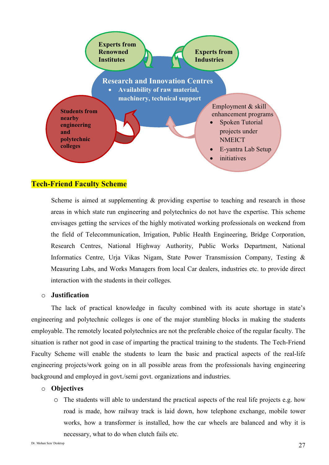

#### **Tech-Friend Faculty Scheme**

Scheme is aimed at supplementing  $\&$  providing expertise to teaching and research in those areas in which state run engineering and polytechnics do not have the expertise. This scheme envisages getting the services of the highly motivated working professionals on weekend from the field of Telecommunication, Irrigation, Public Health Engineering, Bridge Corporation, Research Centres, National Highway Authority, Public Works Department, National Informatics Centre, Urja Vikas Nigam, State Power Transmission Company, Testing & Measuring Labs, and Works Managers from local Car dealers, industries etc. to provide direct interaction with the students in their colleges.

#### o **Justification**

The lack of practical knowledge in faculty combined with its acute shortage in state's engineering and polytechnic colleges is one of the major stumbling blocks in making the students employable. The remotely located polytechnics are not the preferable choice of the regular faculty. The situation is rather not good in case of imparting the practical training to the students. The Tech-Friend Faculty Scheme will enable the students to learn the basic and practical aspects of the real-life engineering projects/work going on in all possible areas from the professionals having engineering background and employed in govt./semi govt. organizations and industries.

#### o **Objectives**

o The students will able to understand the practical aspects of the real life projects e.g. how road is made, how railway track is laid down, how telephone exchange, mobile tower works, how a transformer is installed, how the car wheels are balanced and why it is necessary, what to do when clutch fails etc.